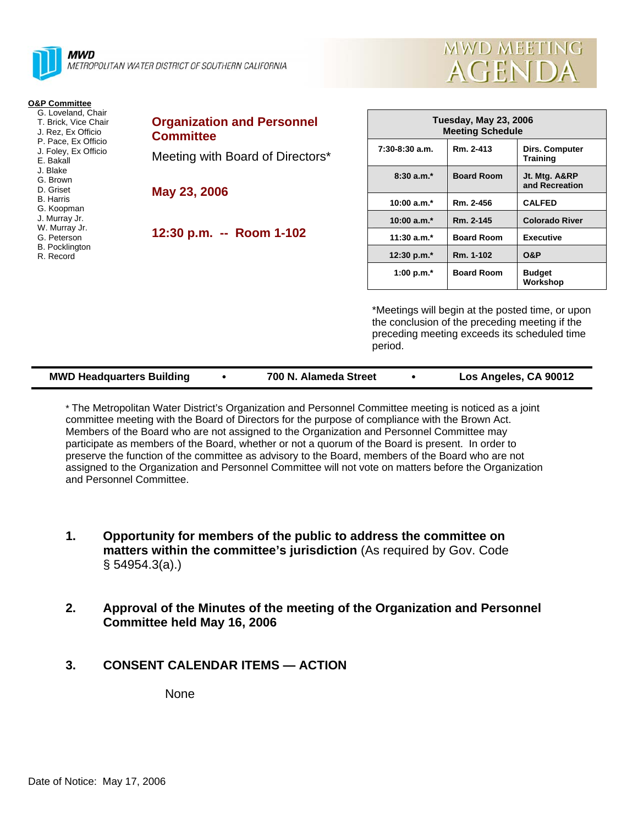

METROPOLITAN WATER DISTRICT OF SOUTHERN CALIFORNIA

#### **O&P Committee**

- G. Loveland, Chair T. Brick, Vice Chair J. Rez, Ex Officio P. Pace, Ex Officio J. Foley, Ex Officio E. Bakall J. Blake G. Brown D. Griset
- B. Harris
- G. Koopman
- J. Murray Jr. W. Murray Jr.
- G. Peterson
- B. Pocklington
- R. Record

**Organization and Personnel Committee**  Meeting with Board of Directors\*

**May 23, 2006** 

**12:30 p.m. -- Room 1-102** 

| <b>Tuesday, May 23, 2006</b><br><b>Meeting Schedule</b> |                   |                                 |  |  |  |
|---------------------------------------------------------|-------------------|---------------------------------|--|--|--|
| $7:30-8:30$ a.m.                                        | Rm. 2-413         | Dirs. Computer<br>Training      |  |  |  |
| $8:30a.m.*$                                             | <b>Board Room</b> | Jt. Mtg. A&RP<br>and Recreation |  |  |  |
| $10:00 a.m.*$                                           | Rm. 2-456         | <b>CALFED</b>                   |  |  |  |
| 10:00 $a.m.*$                                           | Rm. 2-145         | <b>Colorado River</b>           |  |  |  |
| 11:30 $a.m.*$                                           | <b>Board Room</b> | Executive                       |  |  |  |
| 12:30 p.m. $*$                                          | Rm. 1-102         | 0&P                             |  |  |  |
| 1:00 p.m. $*$                                           | <b>Board Room</b> | <b>Budget</b><br>Workshop       |  |  |  |

**MWD MEETING** 

**AGENDA** 

\*Meetings will begin at the posted time, or upon the conclusion of the preceding meeting if the preceding meeting exceeds its scheduled time period.

| <b>MWD Headquarters Building</b> |  | 700 N. Alameda Street |  | Los Angeles, CA 90012 |
|----------------------------------|--|-----------------------|--|-----------------------|
|----------------------------------|--|-----------------------|--|-----------------------|

\* The Metropolitan Water District's Organization and Personnel Committee meeting is noticed as a joint committee meeting with the Board of Directors for the purpose of compliance with the Brown Act. Members of the Board who are not assigned to the Organization and Personnel Committee may participate as members of the Board, whether or not a quorum of the Board is present. In order to preserve the function of the committee as advisory to the Board, members of the Board who are not assigned to the Organization and Personnel Committee will not vote on matters before the Organization and Personnel Committee.

- **1. Opportunity for members of the public to address the committee on matters within the committee's jurisdiction** (As required by Gov. Code § 54954.3(a).)
- **2. Approval of the Minutes of the meeting of the Organization and Personnel Committee held May 16, 2006**
- **3. CONSENT CALENDAR ITEMS ACTION**

None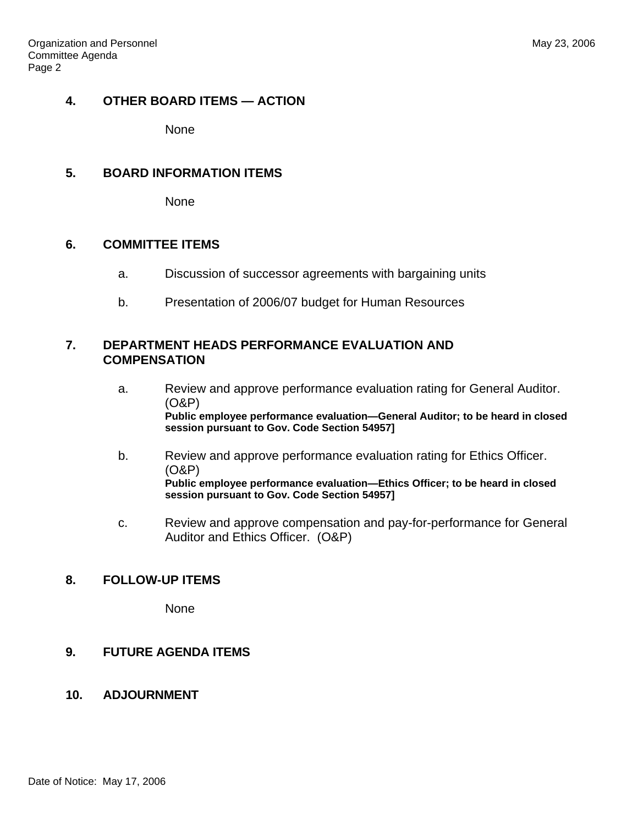# **4. OTHER BOARD ITEMS — ACTION**

None

## **5. BOARD INFORMATION ITEMS**

None

## **6. COMMITTEE ITEMS**

- a. Discussion of successor agreements with bargaining units
- b. Presentation of 2006/07 budget for Human Resources

### **7. DEPARTMENT HEADS PERFORMANCE EVALUATION AND COMPENSATION**

- a. Review and approve performance evaluation rating for General Auditor. (O&P) **Public employee performance evaluation—General Auditor; to be heard in closed session pursuant to Gov. Code Section 54957]**
- b. Review and approve performance evaluation rating for Ethics Officer. (O&P) **Public employee performance evaluation—Ethics Officer; to be heard in closed session pursuant to Gov. Code Section 54957]**
- c. Review and approve compensation and pay-for-performance for General Auditor and Ethics Officer. (O&P)

# **8. FOLLOW-UP ITEMS**

None

## **9. FUTURE AGENDA ITEMS**

## **10. ADJOURNMENT**